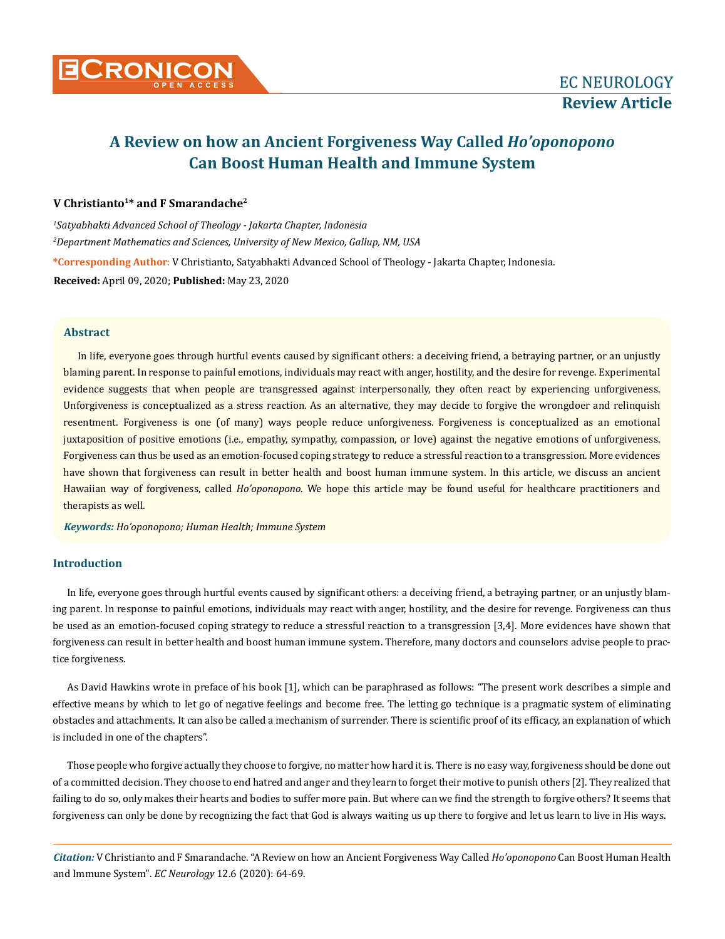

# **A Review on how an Ancient Forgiveness Way Called** *Ho'oponopono* **Can Boost Human Health and Immune System**

# **V Christianto1\* and F Smarandache2**

*1 Satyabhakti Advanced School of Theology - Jakarta Chapter, Indonesia 2 Department Mathematics and Sciences, University of New Mexico, Gallup, NM, USA* **\*Corresponding Author**: V Christianto, Satyabhakti Advanced School of Theology - Jakarta Chapter, Indonesia. **Received:** April 09, 2020; **Published:** May 23, 2020

# **Abstract**

In life, everyone goes through hurtful events caused by significant others: a deceiving friend, a betraying partner, or an unjustly blaming parent. In response to painful emotions, individuals may react with anger, hostility, and the desire for revenge. Experimental evidence suggests that when people are transgressed against interpersonally, they often react by experiencing unforgiveness. Unforgiveness is conceptualized as a stress reaction. As an alternative, they may decide to forgive the wrongdoer and relinquish resentment. Forgiveness is one (of many) ways people reduce unforgiveness. Forgiveness is conceptualized as an emotional juxtaposition of positive emotions (i.e., empathy, sympathy, compassion, or love) against the negative emotions of unforgiveness. Forgiveness can thus be used as an emotion-focused coping strategy to reduce a stressful reaction to a transgression. More evidences have shown that forgiveness can result in better health and boost human immune system. In this article, we discuss an ancient Hawaiian way of forgiveness, called *Ho'oponopono*. We hope this article may be found useful for healthcare practitioners and therapists as well.

*Keywords: Ho'oponopono; Human Health; Immune System*

# **Introduction**

In life, everyone goes through hurtful events caused by significant others: a deceiving friend, a betraying partner, or an unjustly blaming parent. In response to painful emotions, individuals may react with anger, hostility, and the desire for revenge. Forgiveness can thus be used as an emotion-focused coping strategy to reduce a stressful reaction to a transgression [3,4]. More evidences have shown that forgiveness can result in better health and boost human immune system. Therefore, many doctors and counselors advise people to practice forgiveness.

As David Hawkins wrote in preface of his book [1], which can be paraphrased as follows: "The present work describes a simple and effective means by which to let go of negative feelings and become free. The letting go technique is a pragmatic system of eliminating obstacles and attachments. It can also be called a mechanism of surrender. There is scientific proof of its efficacy, an explanation of which is included in one of the chapters".

Those people who forgive actually they choose to forgive, no matter how hard it is. There is no easy way, forgiveness should be done out of a committed decision. They choose to end hatred and anger and they learn to forget their motive to punish others [2]. They realized that failing to do so, only makes their hearts and bodies to suffer more pain. But where can we find the strength to forgive others? It seems that forgiveness can only be done by recognizing the fact that God is always waiting us up there to forgive and let us learn to live in His ways.

*Citation:* V Christianto and F Smarandache. "A Review on how an Ancient Forgiveness Way Called *Ho'oponopono* Can Boost Human Health and Immune System". *EC Neurology* 12.6 (2020): 64-69.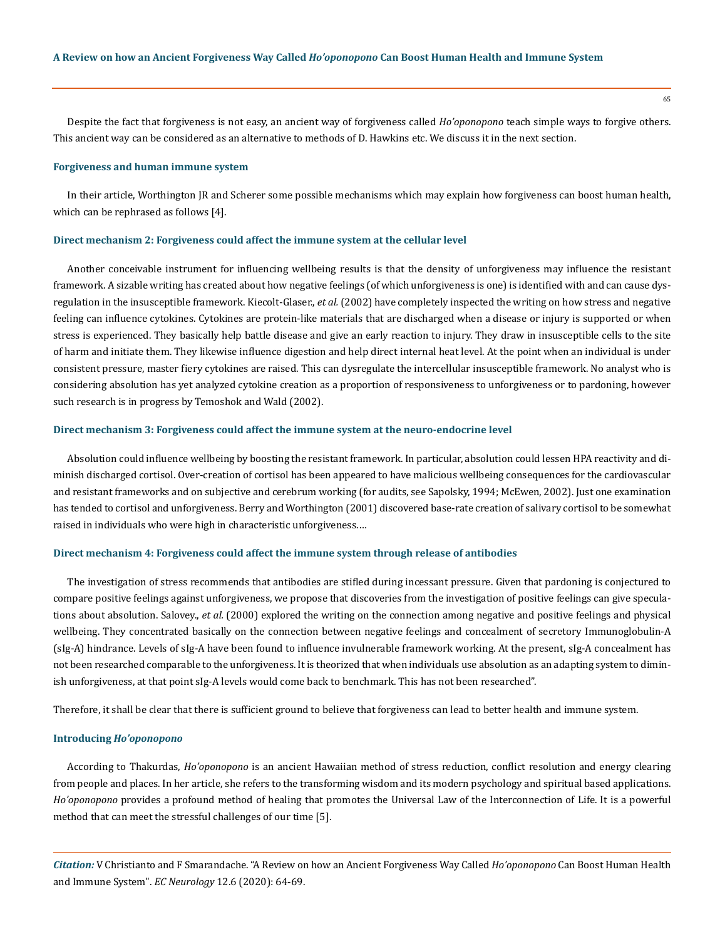Despite the fact that forgiveness is not easy, an ancient way of forgiveness called *Ho'oponopono* teach simple ways to forgive others. This ancient way can be considered as an alternative to methods of D. Hawkins etc. We discuss it in the next section.

#### **Forgiveness and human immune system**

In their article, Worthington JR and Scherer some possible mechanisms which may explain how forgiveness can boost human health, which can be rephrased as follows [4].

#### **Direct mechanism 2: Forgiveness could affect the immune system at the cellular level**

Another conceivable instrument for influencing wellbeing results is that the density of unforgiveness may influence the resistant framework. A sizable writing has created about how negative feelings (of which unforgiveness is one) is identified with and can cause dysregulation in the insusceptible framework. Kiecolt-Glaser., *et al.* (2002) have completely inspected the writing on how stress and negative feeling can influence cytokines. Cytokines are protein-like materials that are discharged when a disease or injury is supported or when stress is experienced. They basically help battle disease and give an early reaction to injury. They draw in insusceptible cells to the site of harm and initiate them. They likewise influence digestion and help direct internal heat level. At the point when an individual is under consistent pressure, master fiery cytokines are raised. This can dysregulate the intercellular insusceptible framework. No analyst who is considering absolution has yet analyzed cytokine creation as a proportion of responsiveness to unforgiveness or to pardoning, however such research is in progress by Temoshok and Wald (2002).

## **Direct mechanism 3: Forgiveness could affect the immune system at the neuro-endocrine level**

Absolution could influence wellbeing by boosting the resistant framework. In particular, absolution could lessen HPA reactivity and diminish discharged cortisol. Over-creation of cortisol has been appeared to have malicious wellbeing consequences for the cardiovascular and resistant frameworks and on subjective and cerebrum working (for audits, see Sapolsky, 1994; McEwen, 2002). Just one examination has tended to cortisol and unforgiveness. Berry and Worthington (2001) discovered base-rate creation of salivary cortisol to be somewhat raised in individuals who were high in characteristic unforgiveness.…

## **Direct mechanism 4: Forgiveness could affect the immune system through release of antibodies**

The investigation of stress recommends that antibodies are stifled during incessant pressure. Given that pardoning is conjectured to compare positive feelings against unforgiveness, we propose that discoveries from the investigation of positive feelings can give speculations about absolution. Salovey., *et al.* (2000) explored the writing on the connection among negative and positive feelings and physical wellbeing. They concentrated basically on the connection between negative feelings and concealment of secretory Immunoglobulin-A (sIg-A) hindrance. Levels of sIg-A have been found to influence invulnerable framework working. At the present, sIg-A concealment has not been researched comparable to the unforgiveness. It is theorized that when individuals use absolution as an adapting system to diminish unforgiveness, at that point sIg-A levels would come back to benchmark. This has not been researched".

Therefore, it shall be clear that there is sufficient ground to believe that forgiveness can lead to better health and immune system.

#### **Introducing** *Ho'oponopono*

According to Thakurdas, *Ho'oponopono* is an ancient Hawaiian method of stress reduction, conflict resolution and energy clearing from people and places. In her article, she refers to the transforming wisdom and its modern psychology and spiritual based applications. *Ho'oponopono* provides a profound method of healing that promotes the Universal Law of the Interconnection of Life. It is a powerful method that can meet the stressful challenges of our time [5].

*Citation:* V Christianto and F Smarandache. "A Review on how an Ancient Forgiveness Way Called *Ho'oponopono* Can Boost Human Health and Immune System". *EC Neurology* 12.6 (2020): 64-69.

65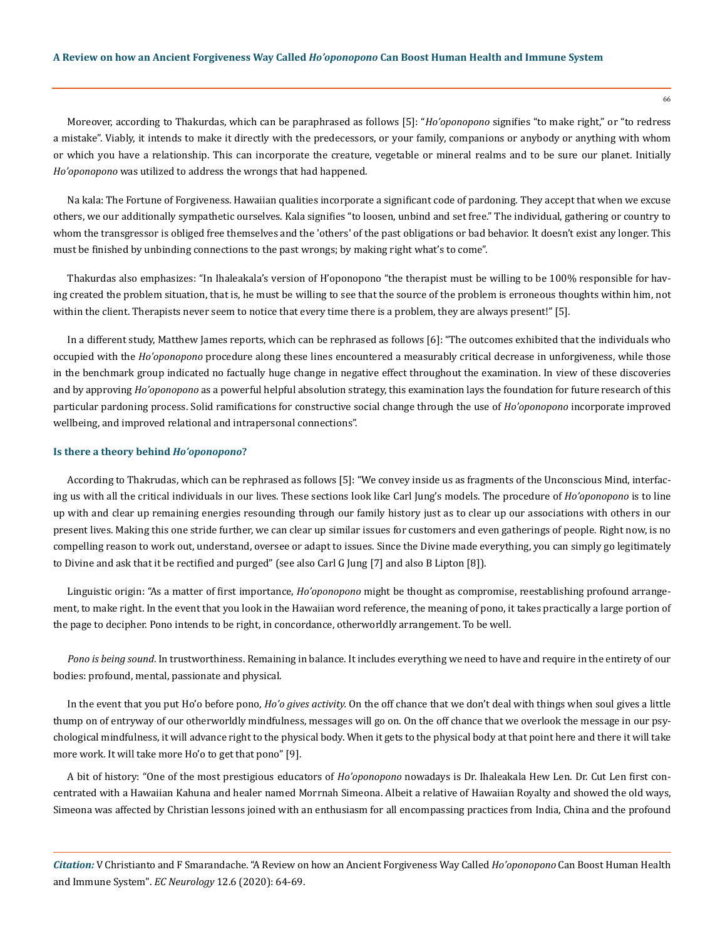Moreover, according to Thakurdas, which can be paraphrased as follows [5]: "*Ho'oponopono* signifies "to make right," or "to redress a mistake". Viably, it intends to make it directly with the predecessors, or your family, companions or anybody or anything with whom or which you have a relationship. This can incorporate the creature, vegetable or mineral realms and to be sure our planet. Initially *Ho'oponopono* was utilized to address the wrongs that had happened.

Na kala: The Fortune of Forgiveness. Hawaiian qualities incorporate a significant code of pardoning. They accept that when we excuse others, we our additionally sympathetic ourselves. Kala signifies "to loosen, unbind and set free." The individual, gathering or country to whom the transgressor is obliged free themselves and the 'others' of the past obligations or bad behavior. It doesn't exist any longer. This must be finished by unbinding connections to the past wrongs; by making right what's to come".

Thakurdas also emphasizes: "In Ihaleakala's version of H'oponopono "the therapist must be willing to be 100% responsible for having created the problem situation, that is, he must be willing to see that the source of the problem is erroneous thoughts within him, not within the client. Therapists never seem to notice that every time there is a problem, they are always present!" [5].

In a different study, Matthew James reports, which can be rephrased as follows [6]: "The outcomes exhibited that the individuals who occupied with the *Ho'oponopono* procedure along these lines encountered a measurably critical decrease in unforgiveness, while those in the benchmark group indicated no factually huge change in negative effect throughout the examination. In view of these discoveries and by approving *Ho'oponopono* as a powerful helpful absolution strategy, this examination lays the foundation for future research of this particular pardoning process. Solid ramifications for constructive social change through the use of *Ho'oponopono* incorporate improved wellbeing, and improved relational and intrapersonal connections".

## **Is there a theory behind** *Ho'oponopono***?**

According to Thakrudas, which can be rephrased as follows [5]: "We convey inside us as fragments of the Unconscious Mind, interfacing us with all the critical individuals in our lives. These sections look like Carl Jung's models. The procedure of *Ho'oponopono* is to line up with and clear up remaining energies resounding through our family history just as to clear up our associations with others in our present lives. Making this one stride further, we can clear up similar issues for customers and even gatherings of people. Right now, is no compelling reason to work out, understand, oversee or adapt to issues. Since the Divine made everything, you can simply go legitimately to Divine and ask that it be rectified and purged" (see also Carl G Jung [7] and also B Lipton [8]).

Linguistic origin: "As a matter of first importance, *Ho'oponopono* might be thought as compromise, reestablishing profound arrangement, to make right. In the event that you look in the Hawaiian word reference, the meaning of pono, it takes practically a large portion of the page to decipher. Pono intends to be right, in concordance, otherworldly arrangement. To be well.

*Pono is being sound*. In trustworthiness. Remaining in balance. It includes everything we need to have and require in the entirety of our bodies: profound, mental, passionate and physical.

In the event that you put Ho'o before pono, *Ho'o gives activity.* On the off chance that we don't deal with things when soul gives a little thump on of entryway of our otherworldly mindfulness, messages will go on. On the off chance that we overlook the message in our psychological mindfulness, it will advance right to the physical body. When it gets to the physical body at that point here and there it will take more work. It will take more Ho'o to get that pono" [9].

A bit of history: "One of the most prestigious educators of *Ho'oponopono* nowadays is Dr. Ihaleakala Hew Len. Dr. Cut Len first concentrated with a Hawaiian Kahuna and healer named Morrnah Simeona. Albeit a relative of Hawaiian Royalty and showed the old ways, Simeona was affected by Christian lessons joined with an enthusiasm for all encompassing practices from India, China and the profound

*Citation:* V Christianto and F Smarandache. "A Review on how an Ancient Forgiveness Way Called *Ho'oponopono* Can Boost Human Health and Immune System". *EC Neurology* 12.6 (2020): 64-69.

66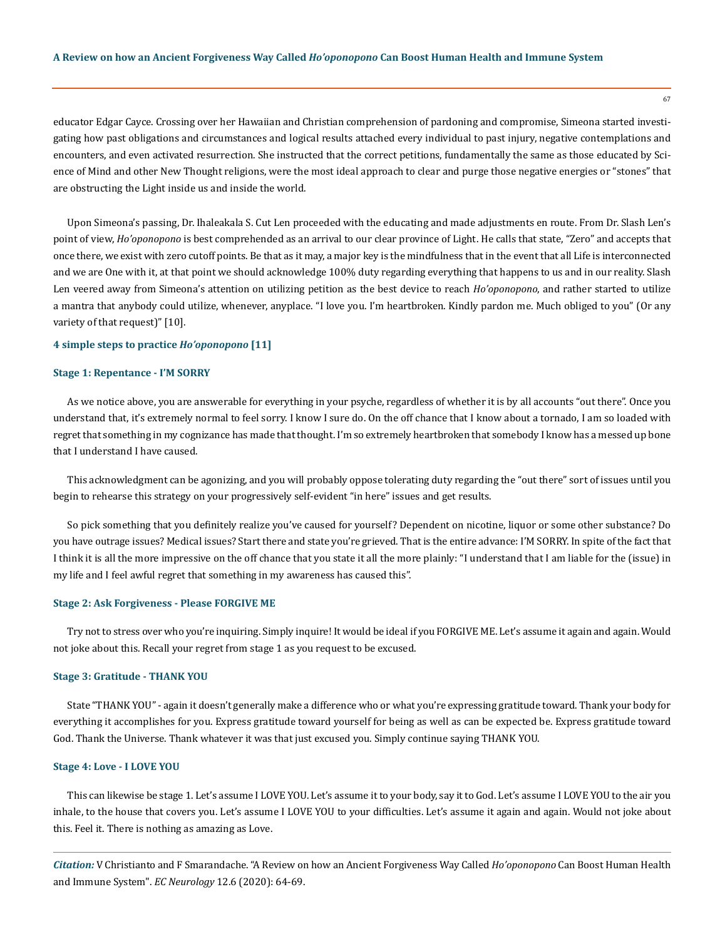educator Edgar Cayce. Crossing over her Hawaiian and Christian comprehension of pardoning and compromise, Simeona started investigating how past obligations and circumstances and logical results attached every individual to past injury, negative contemplations and encounters, and even activated resurrection. She instructed that the correct petitions, fundamentally the same as those educated by Science of Mind and other New Thought religions, were the most ideal approach to clear and purge those negative energies or "stones" that are obstructing the Light inside us and inside the world.

Upon Simeona's passing, Dr. Ihaleakala S. Cut Len proceeded with the educating and made adjustments en route. From Dr. Slash Len's point of view, *Ho'oponopono* is best comprehended as an arrival to our clear province of Light. He calls that state, "Zero" and accepts that once there, we exist with zero cutoff points. Be that as it may, a major key is the mindfulness that in the event that all Life is interconnected and we are One with it, at that point we should acknowledge 100% duty regarding everything that happens to us and in our reality. Slash Len veered away from Simeona's attention on utilizing petition as the best device to reach *Ho'oponopono*, and rather started to utilize a mantra that anybody could utilize, whenever, anyplace. "I love you. I'm heartbroken. Kindly pardon me. Much obliged to you" (Or any variety of that request)" [10].

## **4 simple steps to practice** *Ho'oponopono* **[11]**

#### **Stage 1: Repentance - I'M SORRY**

As we notice above, you are answerable for everything in your psyche, regardless of whether it is by all accounts "out there". Once you understand that, it's extremely normal to feel sorry. I know I sure do. On the off chance that I know about a tornado, I am so loaded with regret that something in my cognizance has made that thought. I'm so extremely heartbroken that somebody I know has a messed up bone that I understand I have caused.

This acknowledgment can be agonizing, and you will probably oppose tolerating duty regarding the "out there" sort of issues until you begin to rehearse this strategy on your progressively self-evident "in here" issues and get results.

So pick something that you definitely realize you've caused for yourself? Dependent on nicotine, liquor or some other substance? Do you have outrage issues? Medical issues? Start there and state you're grieved. That is the entire advance: I'M SORRY. In spite of the fact that I think it is all the more impressive on the off chance that you state it all the more plainly: "I understand that I am liable for the (issue) in my life and I feel awful regret that something in my awareness has caused this".

#### **Stage 2: Ask Forgiveness - Please FORGIVE ME**

Try not to stress over who you're inquiring. Simply inquire! It would be ideal if you FORGIVE ME. Let's assume it again and again. Would not joke about this. Recall your regret from stage 1 as you request to be excused.

#### **Stage 3: Gratitude - THANK YOU**

State "THANK YOU" - again it doesn't generally make a difference who or what you're expressing gratitude toward. Thank your body for everything it accomplishes for you. Express gratitude toward yourself for being as well as can be expected be. Express gratitude toward God. Thank the Universe. Thank whatever it was that just excused you. Simply continue saying THANK YOU.

#### **Stage 4: Love - I LOVE YOU**

This can likewise be stage 1. Let's assume I LOVE YOU. Let's assume it to your body, say it to God. Let's assume I LOVE YOU to the air you inhale, to the house that covers you. Let's assume I LOVE YOU to your difficulties. Let's assume it again and again. Would not joke about this. Feel it. There is nothing as amazing as Love.

*Citation:* V Christianto and F Smarandache. "A Review on how an Ancient Forgiveness Way Called *Ho'oponopono* Can Boost Human Health and Immune System". *EC Neurology* 12.6 (2020): 64-69.

67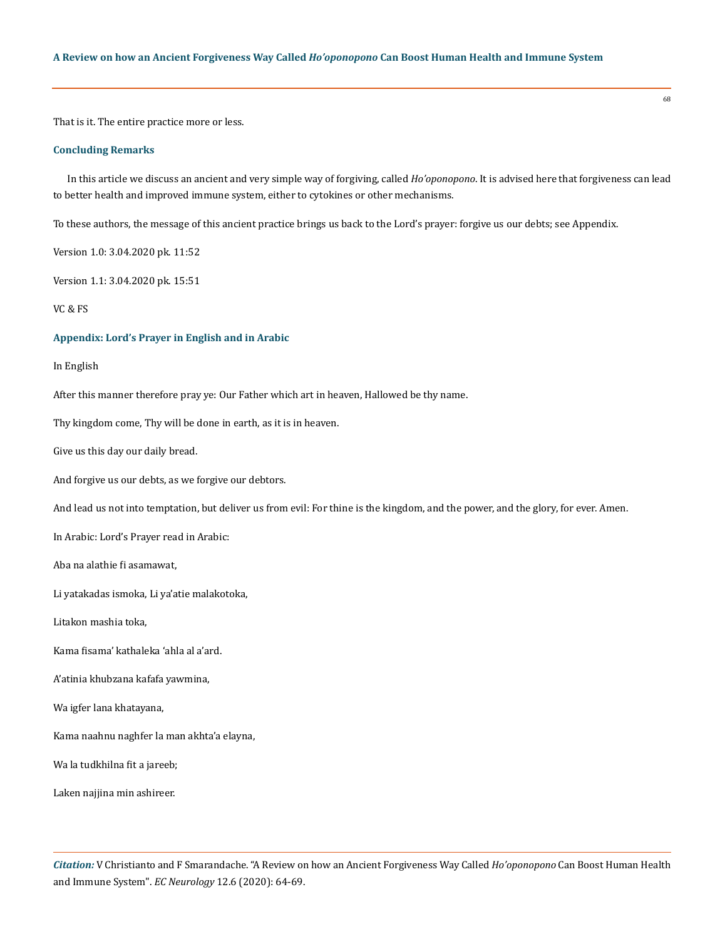That is it. The entire practice more or less.

## **Concluding Remarks**

In this article we discuss an ancient and very simple way of forgiving, called *Ho'oponopono*. It is advised here that forgiveness can lead to better health and improved immune system, either to cytokines or other mechanisms.

68

To these authors, the message of this ancient practice brings us back to the Lord's prayer: forgive us our debts; see Appendix.

Version 1.0: 3.04.2020 pk. 11:52

Version 1.1: 3.04.2020 pk. 15:51

VC & FS

#### **Appendix: Lord's Prayer in English and in Arabic**

In English

After this manner therefore pray ye: Our Father which art in heaven, Hallowed be thy name.

Thy kingdom come, Thy will be done in earth, as it is in heaven.

Give us this day our daily bread.

And forgive us our debts, as we forgive our debtors.

And lead us not into temptation, but deliver us from evil: For thine is the kingdom, and the power, and the glory, for ever. Amen.

In Arabic: Lord's Prayer read in Arabic:

Aba na alathie fi asamawat,

Li yatakadas ismoka, Li ya'atie malakotoka,

Litakon mashia toka,

Kama fisama' kathaleka 'ahla al a'ard.

A'atinia khubzana kafafa yawmina,

Wa igfer lana khatayana,

Kama naahnu naghfer la man akhta'a elayna,

Wa la tudkhilna fit a jareeb;

Laken najjina min ashireer.